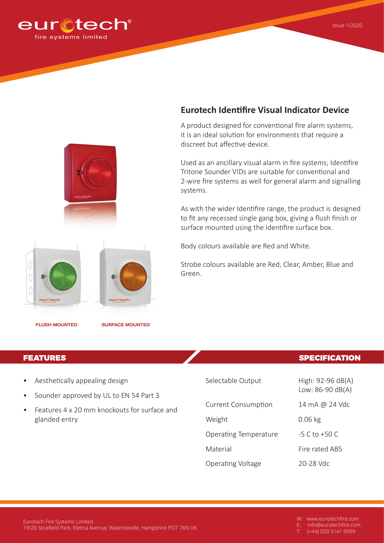

# **Eurotech Identifire Visual Indicator Device**

A product designed for conventional fire alarm systems, it is an ideal solution for environments that require a discreet but affective device.

Used as an ancillary visual alarm in fire systems; Identifire Tritone Sounder VIDs are suitable for conventional and 2-wire fire systems as well for general alarm and signalling systems.

As with the wider Identifire range, the product is designed to fit any recessed single gang box, giving a flush finish or surface mounted using the Identifire surface box.

Body colours available are Red and White.

Strobe colours available are Red, Clear, Amber, Blue and Green.

**FLUSH MOUNTED** 

 $\left($ 

- Aesthetically appealing design
- Sounder approved by UL to EN 54 Part 3
- Features 4 x 20 mm knockouts for surface and glanded entry

eurCtech

**SURFACE MOUNTED** 

## **FEATURES SPECIFICATION**

Low: 86-90 dB(A)

Selectable Output High: 92-96 dB(A)

Current Consumption 14 mA @ 24 Vdc

Weight 0.06 kg

Operating Temperature -5 C to +50 C

Material **Fire rated ABS** 

Operating Voltage 20-28 Vdc

E: info@eurotechfire.com

 $\overline{(+44)}$  020 3141 0999